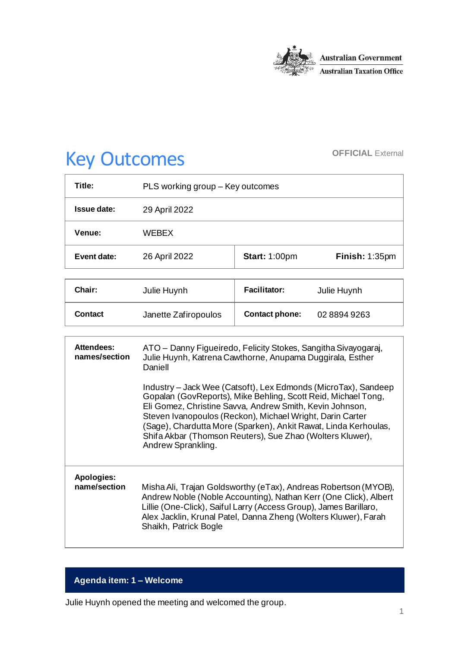

# Key Outcomes **OFFICIAL External**

| Title:      | PLS working group – Key outcomes |                      |                |
|-------------|----------------------------------|----------------------|----------------|
| Issue date: | 29 April 2022                    |                      |                |
| Venue:      | <b>WFBFX</b>                     |                      |                |
| Event date: | 26 April 2022                    | <b>Start: 1:00pm</b> | Finish: 1:35pm |

| <b>Chair:</b>  | Julie Huynh          | <b>Facilitator:</b>   | Julie Huynh |
|----------------|----------------------|-----------------------|-------------|
| <b>Contact</b> | Janette Zafiropoulos | <b>Contact phone:</b> | 0288949263  |

| <b>Attendees:</b><br>names/section | ATO – Danny Figueiredo, Felicity Stokes, Sangitha Sivayogaraj,<br>Julie Huynh, Katrena Cawthorne, Anupama Duggirala, Esther<br>Daniell                                                                                                                                                                                                                                                                         |  |
|------------------------------------|----------------------------------------------------------------------------------------------------------------------------------------------------------------------------------------------------------------------------------------------------------------------------------------------------------------------------------------------------------------------------------------------------------------|--|
|                                    | Industry – Jack Wee (Catsoft), Lex Edmonds (MicroTax), Sandeep<br>Gopalan (GovReports), Mike Behling, Scott Reid, Michael Tong,<br>Eli Gomez, Christine Savva, Andrew Smith, Kevin Johnson,<br>Steven Ivanopoulos (Reckon), Michael Wright, Darin Carter<br>(Sage), Chardutta More (Sparken), Ankit Rawat, Linda Kerhoulas,<br>Shifa Akbar (Thomson Reuters), Sue Zhao (Wolters Kluwer),<br>Andrew Sprankling. |  |
| Apologies:<br>name/section         | Misha Ali, Trajan Goldsworthy (eTax), Andreas Robertson (MYOB),<br>Andrew Noble (Noble Accounting), Nathan Kerr (One Click), Albert<br>Lillie (One-Click), Saiful Larry (Access Group), James Barillaro,<br>Alex Jacklin, Krunal Patel, Danna Zheng (Wolters Kluwer), Farah<br>Shaikh, Patrick Bogle                                                                                                           |  |

# **Agenda item: 1 – Welcome**

Julie Huynh opened the meeting and welcomed the group.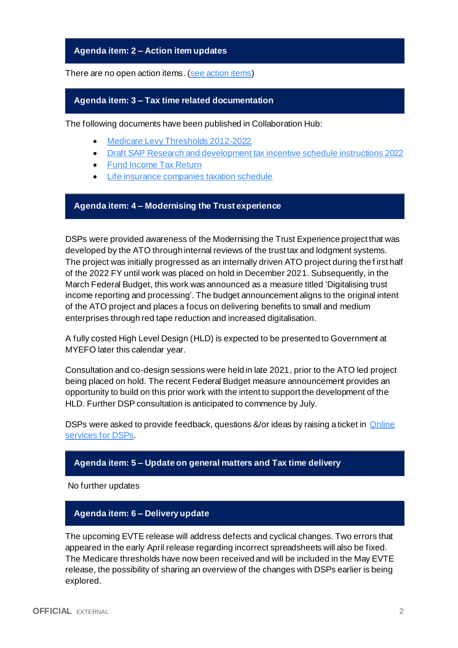#### **Agenda item: 2 – Action item updates**

There are no open action items. [\(see action items\)](https://developer.sbr.gov.au/collaborate/display/DSPCOLLAB/PLSWG+action+items)

#### **Agenda item: 3 – Tax time related documentation**

The following documents have been published in Collaboration Hub:

- [Medicare Levy Thresholds 2012-2022](https://developer.sbr.gov.au/collaborate/display/DSPCOLLAB/Medicare+levy+thresholds)
- [Draft SAP Research and development tax incentive schedule instructions 2022](https://developer.sbr.gov.au/collaborate/display/DSPCOLLAB/2022+draft+instructions)
- [Fund Income Tax Return](https://developer.sbr.gov.au/collaborate/display/DSPCOLLAB/2022+Tax+Time+draft+forms)
- [Life insurance companies taxation schedule](https://developer.sbr.gov.au/collaborate/display/DSPCOLLAB/2022+Tax+Time+draft+forms)

## **Agenda item: 4 – Modernising the Trust experience**

DSPs were provided awareness of the Modernising the Trust Experience project that was developed by the ATO through internal reviews of the trust tax and lodgment systems. The project was initially progressed as an internally driven ATO project during the f irst half of the 2022 FY until work was placed on hold in December 2021. Subsequently, in the March Federal Budget, this work was announced as a measure titled 'Digitalising trust income reporting and processing'. The budget announcement aligns to the original intent of the ATO project and places a focus on delivering benefits to small and medium enterprises through red tape reduction and increased digitalisation.

A fully costed High Level Design (HLD) is expected to be presented to Government at MYEFO later this calendar year.

Consultation and co-design sessions were held in late 2021, prior to the ATO led project being placed on hold. The recent Federal Budget measure announcement provides an opportunity to build on this prior work with the intent to support the development of the HLD. Further DSP consultation is anticipated to commence by July.

DSPs were asked to provide feedback, questions &/or ideas by raising a ticket in Online [services for DSPs.](https://developer.sbr.gov.au/portal/servicedesk/customer/portal/1/group/31)

#### **Agenda item: 5 – Update on general matters and Tax time delivery**

No further updates

#### **Agenda item: 6 – Delivery update**

The upcoming EVTE release will address defects and cyclical changes. Two errors that appeared in the early April release regarding incorrect spreadsheets will also be fixed. The Medicare thresholds have now been received and will be included in the May EVTE release, the possibility of sharing an overview of the changes with DSPs earlier is being explored.